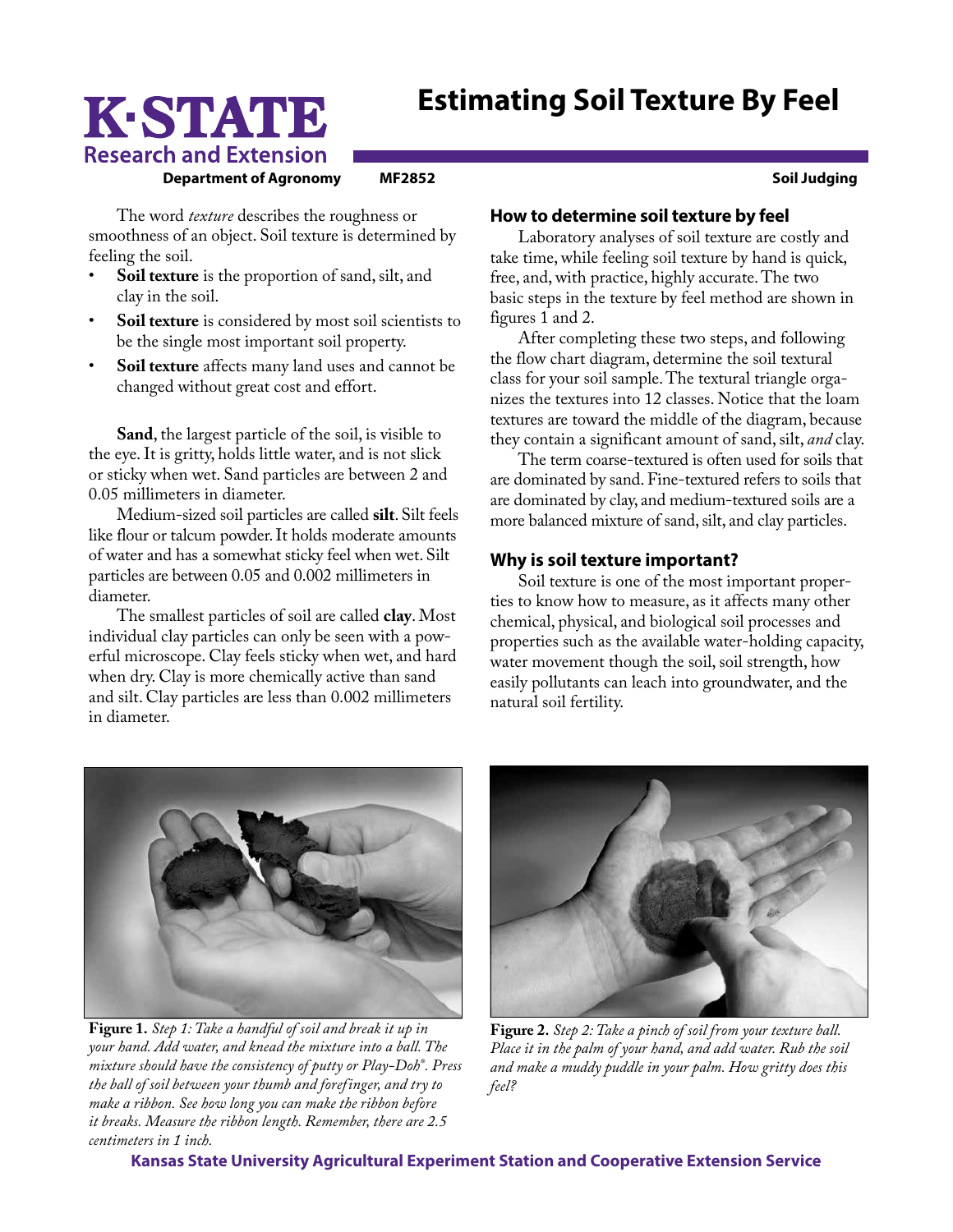## **Estimating Soil Texture By Feel**

# K-STATE **Research and Extension**

**Department of Agronomy MF2852 MEXIC Solution Solution Soil Judging** 

The word *texture* describes the roughness or smoothness of an object. Soil texture is determined by feeling the soil.

- **Soil texture** is the proportion of sand, silt, and clay in the soil.
- Soil texture is considered by most soil scientists to be the single most important soil property.
- **Soil texture** affects many land uses and cannot be changed without great cost and effort.

**Sand**, the largest particle of the soil, is visible to the eye. It is gritty, holds little water, and is not slick or sticky when wet. Sand particles are between 2 and 0.05 millimeters in diameter.

Medium-sized soil particles are called **silt**. Silt feels like flour or talcum powder. It holds moderate amounts of water and has a somewhat sticky feel when wet. Silt particles are between 0.05 and 0.002 millimeters in diameter.

The smallest particles of soil are called **clay**. Most individual clay particles can only be seen with a powerful microscope. Clay feels sticky when wet, and hard when dry. Clay is more chemically active than sand and silt. Clay particles are less than 0.002 millimeters in diameter.

#### **How to determine soil texture by feel**

Laboratory analyses of soil texture are costly and take time, while feeling soil texture by hand is quick, free, and, with practice, highly accurate. The two basic steps in the texture by feel method are shown in figures 1 and 2.

After completing these two steps, and following the flow chart diagram, determine the soil textural class for your soil sample. The textural triangle organizes the textures into 12 classes. Notice that the loam textures are toward the middle of the diagram, because they contain a significant amount of sand, silt, *and* clay.

The term coarse-textured is often used for soils that are dominated by sand. Fine-textured refers to soils that are dominated by clay, and medium-textured soils are a more balanced mixture of sand, silt, and clay particles.

### **Why is soil texture important?**

Soil texture is one of the most important properties to know how to measure, as it affects many other chemical, physical, and biological soil processes and properties such as the available water-holding capacity, water movement though the soil, soil strength, how easily pollutants can leach into groundwater, and the natural soil fertility.

**Figure 1.** *Step 1: Take a handful of soil and break it up in your hand. Add water, and knead the mixture into a ball. The mixture should have the consistency of putty or Play-Doh® . Press the ball of soil between your thumb and forefinger, and try to make a ribbon. See how long you can make the ribbon before it breaks. Measure the ribbon length. Remember, there are 2.5 centimeters in 1 inch.* 



*Place it in the palm of your hand, and add water. Rub the soil and make a muddy puddle in your palm. How gritty does this feel?*

**Kansas State University Agricultural Experiment Station and Cooperative Extension Service**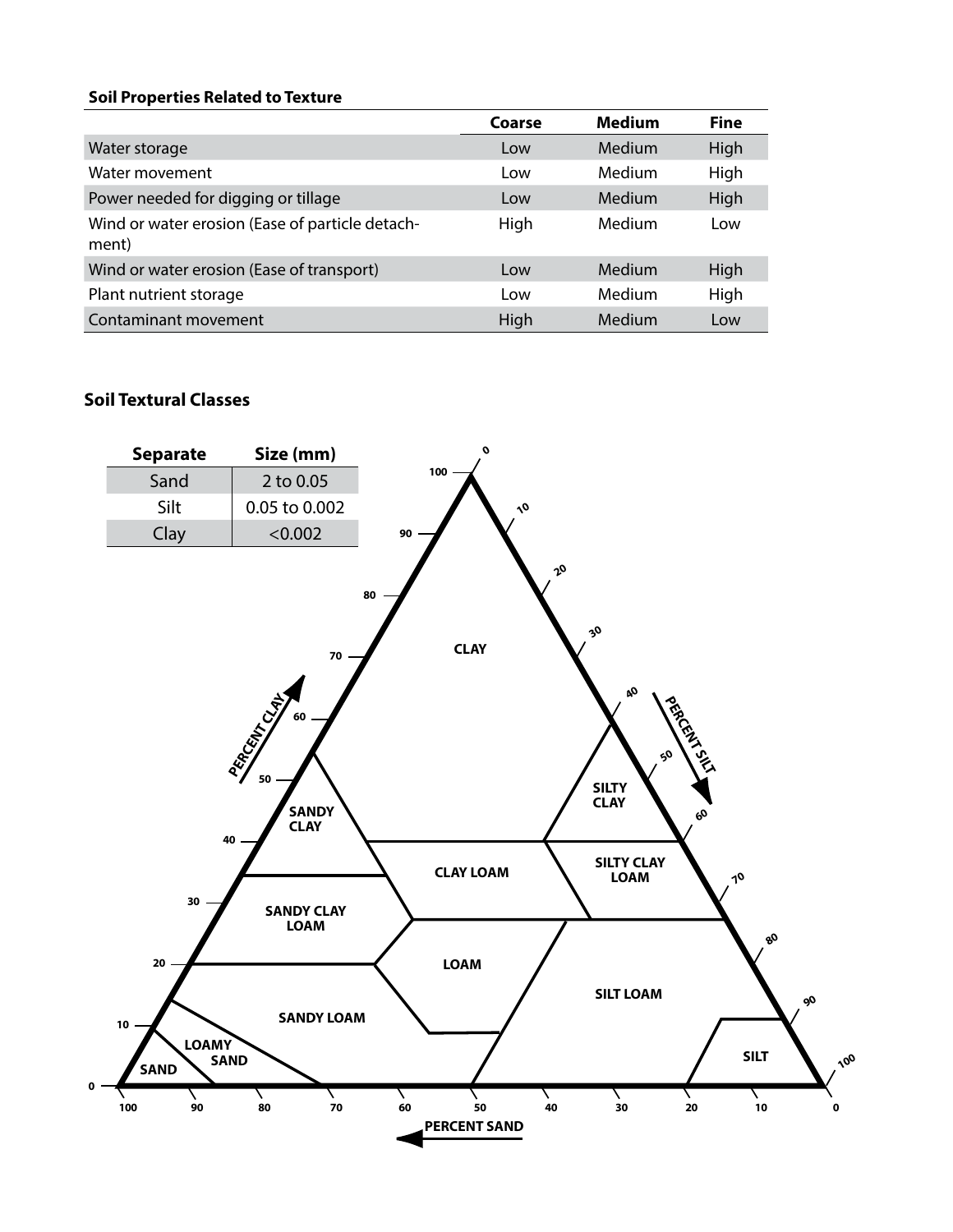#### **Soil Properties Related to Texture**

|                                                          | Coarse | <b>Medium</b> | <b>Fine</b> |
|----------------------------------------------------------|--------|---------------|-------------|
| Water storage                                            | Low    | Medium        | High        |
| Water movement                                           | Low    | Medium        | High        |
| Power needed for digging or tillage                      | Low    | Medium        | High        |
| Wind or water erosion (Ease of particle detach-<br>ment) | High   | Medium        | Low         |
| Wind or water erosion (Ease of transport)                | Low    | Medium        | High        |
| Plant nutrient storage                                   | Low    | Medium        | High        |
| Contaminant movement                                     | High   | Medium        | Low         |

## **Soil Textural Classes**

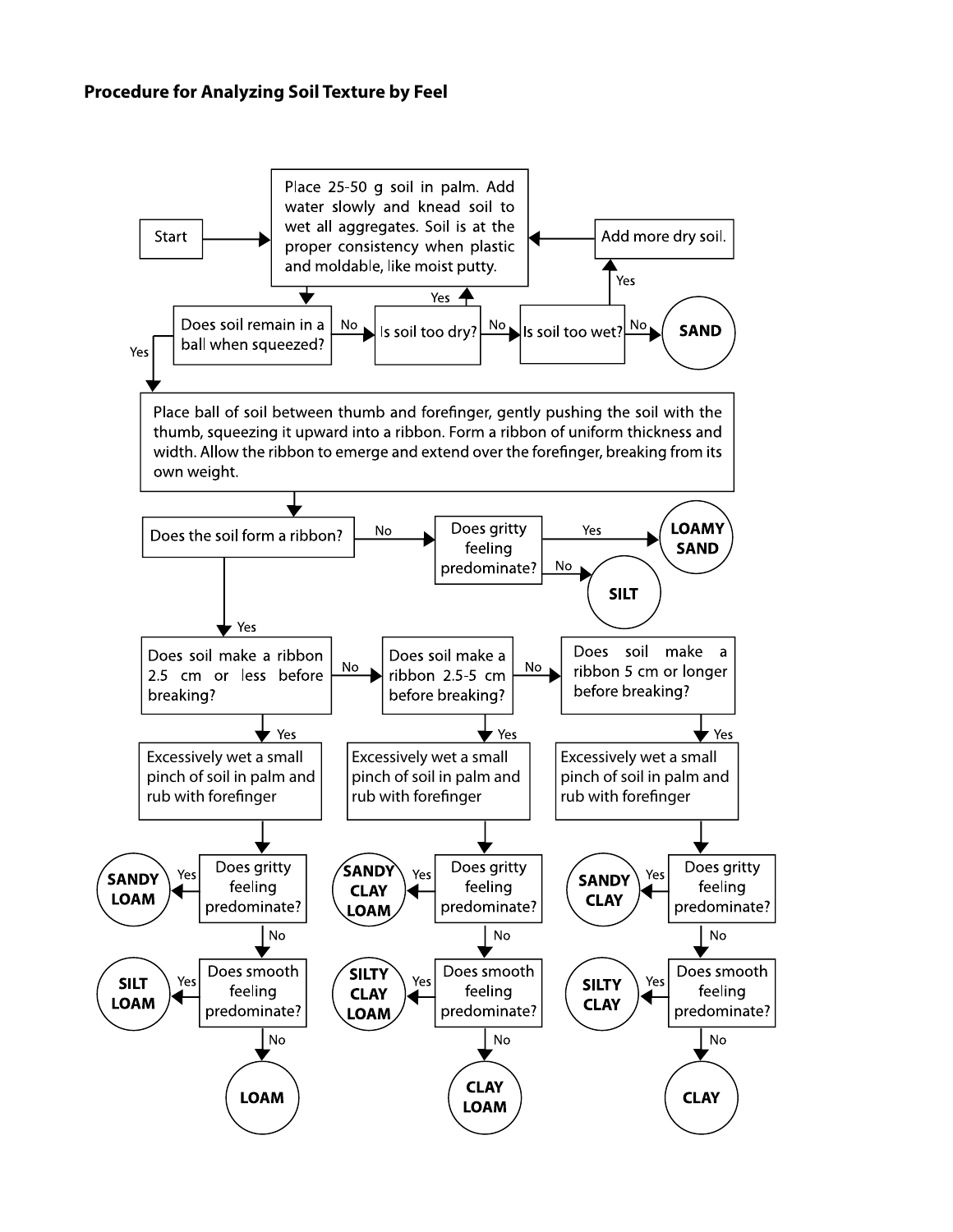